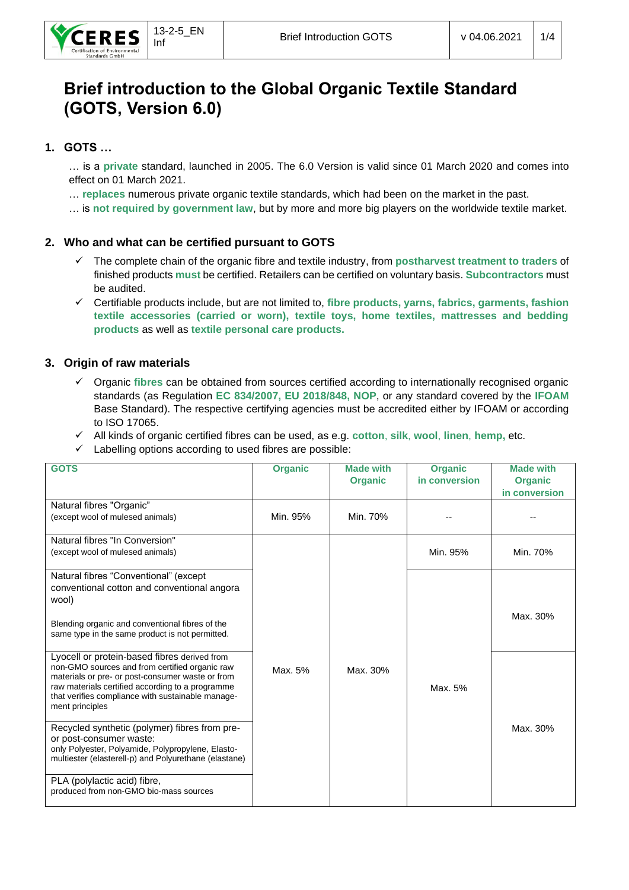# **Brief introduction to the Global Organic Textile Standard (GOTS, Version 6.0)**

## **1. GOTS …**

… is a **private** standard, launched in 2005. The 6.0 Version is valid since 01 March 2020 and comes into effect on 01 March 2021.

… **replaces** numerous private organic textile standards, which had been on the market in the past.

… is **not required by government law**, but by more and more big players on the worldwide textile market.

## **2. Who and what can be certified pursuant to GOTS**

- ✓ The complete chain of the organic fibre and textile industry, from **postharvest treatment to traders** of finished products **must** be certified. Retailers can be certified on voluntary basis. **Subcontractors** must be audited.
- ✓ Certifiable products include, but are not limited to, **fibre products, yarns, fabrics, garments, fashion textile accessories (carried or worn), textile toys, home textiles, mattresses and bedding products** as well as **textile personal care products.**

## **3. Origin of raw materials**

- ✓ Organic **fibres** can be obtained from sources certified according to internationally recognised organic standards (as Regulation **EC 834/2007, EU 2018/848, NOP**, or any standard covered by the **IFOAM** Base Standard). The respective certifying agencies must be accredited either by IFOAM or according to ISO 17065.
- ✓ All kinds of organic certified fibres can be used, as e.g. **cotton**, **silk**, **wool**, **linen**, **hemp,** etc.
- $\checkmark$  Labelling options according to used fibres are possible:

| <b>GOTS</b>                                                                                                                                                                                                                                                                    | <b>Organic</b> | <b>Made with</b><br><b>Organic</b> | <b>Organic</b><br>in conversion | <b>Made with</b><br><b>Organic</b><br>in conversion |
|--------------------------------------------------------------------------------------------------------------------------------------------------------------------------------------------------------------------------------------------------------------------------------|----------------|------------------------------------|---------------------------------|-----------------------------------------------------|
| Natural fibres "Organic"<br>(except wool of mulesed animals)                                                                                                                                                                                                                   | Min. 95%       | Min. 70%                           |                                 |                                                     |
| Natural fibres "In Conversion"<br>(except wool of mulesed animals)                                                                                                                                                                                                             |                |                                    | Min. 95%                        | Min. 70%                                            |
| Natural fibres "Conventional" (except<br>conventional cotton and conventional angora<br>wool)<br>Blending organic and conventional fibres of the<br>same type in the same product is not permitted.                                                                            |                |                                    |                                 | Max. 30%                                            |
| Lyocell or protein-based fibres derived from<br>non-GMO sources and from certified organic raw<br>materials or pre- or post-consumer waste or from<br>raw materials certified according to a programme<br>that verifies compliance with sustainable manage-<br>ment principles | Max. 5%        | Max. 30%                           | Max. 5%                         |                                                     |
| Recycled synthetic (polymer) fibres from pre-<br>or post-consumer waste:<br>only Polyester, Polyamide, Polypropylene, Elasto-<br>multiester (elasterell-p) and Polyurethane (elastane)                                                                                         |                |                                    |                                 | Max. 30%                                            |
| PLA (polylactic acid) fibre,<br>produced from non-GMO bio-mass sources                                                                                                                                                                                                         |                |                                    |                                 |                                                     |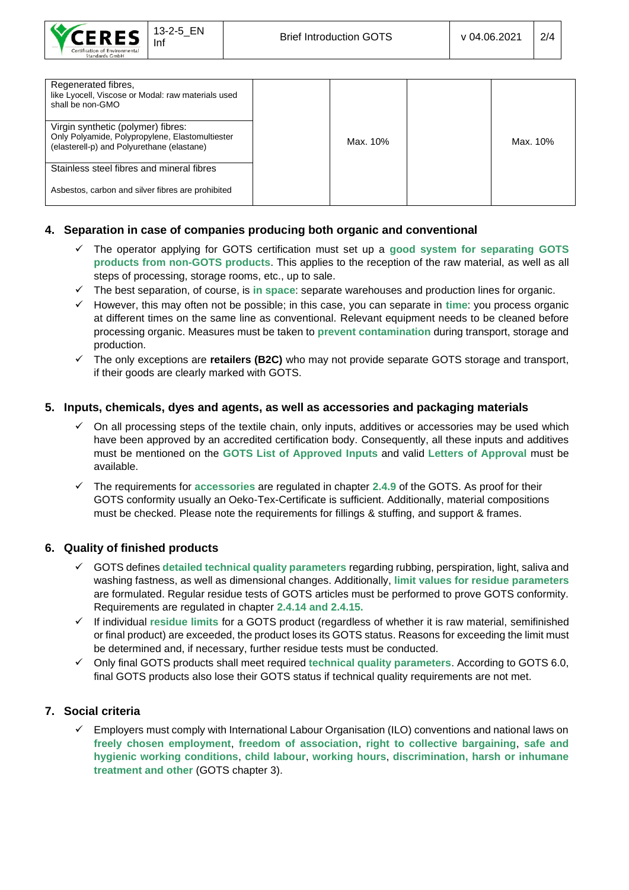

| Regenerated fibres,<br>like Lyocell, Viscose or Modal: raw materials used<br>shall be non-GMO |          |          |
|-----------------------------------------------------------------------------------------------|----------|----------|
| Virgin synthetic (polymer) fibres:                                                            |          |          |
| Only Polyamide, Polypropylene, Elastomultiester                                               | Max. 10% | Max. 10% |
| (elasterell-p) and Polyurethane (elastane)                                                    |          |          |
|                                                                                               |          |          |
| Stainless steel fibres and mineral fibres                                                     |          |          |
| Asbestos, carbon and silver fibres are prohibited                                             |          |          |

## **4. Separation in case of companies producing both organic and conventional**

- ✓ The operator applying for GOTS certification must set up a **good system for separating GOTS products from non-GOTS products**. This applies to the reception of the raw material, as well as all steps of processing, storage rooms, etc., up to sale.
- ✓ The best separation, of course, is **in space**: separate warehouses and production lines for organic.
- ✓ However, this may often not be possible; in this case, you can separate in **time**: you process organic at different times on the same line as conventional. Relevant equipment needs to be cleaned before processing organic. Measures must be taken to **prevent contamination** during transport, storage and production.
- ✓ The only exceptions are **retailers (B2C)** who may not provide separate GOTS storage and transport, if their goods are clearly marked with GOTS.

## **5. Inputs, chemicals, dyes and agents, as well as accessories and packaging materials**

- On all processing steps of the textile chain, only inputs, additives or accessories may be used which have been approved by an accredited certification body. Consequently, all these inputs and additives must be mentioned on the **GOTS List of Approved Inputs** and valid **Letters of Approval** must be available.
- ✓ The requirements for **accessories** are regulated in chapter **2.4.9** of the GOTS. As proof for their GOTS conformity usually an Oeko-Tex-Certificate is sufficient. Additionally, material compositions must be checked. Please note the requirements for fillings & stuffing, and support & frames.

## **6. Quality of finished products**

- GOTS defines detailed technical quality parameters regarding rubbing, perspiration, light, saliva and washing fastness, as well as dimensional changes. Additionally, **limit values for residue parameters** are formulated. Regular residue tests of GOTS articles must be performed to prove GOTS conformity. Requirements are regulated in chapter **2.4.14 and 2.4.15.**
- ✓ If individual **residue limits** for a GOTS product (regardless of whether it is raw material, semifinished or final product) are exceeded, the product loses its GOTS status. Reasons for exceeding the limit must be determined and, if necessary, further residue tests must be conducted.
- ✓ Only final GOTS products shall meet required **technical quality parameters**. According to GOTS 6.0, final GOTS products also lose their GOTS status if technical quality requirements are not met.

## **7. Social criteria**

✓ Employers must comply with International Labour Organisation (ILO) conventions and national laws on **freely chosen employment**, **freedom of association**, **right to collective bargaining**, **safe and hygienic working conditions**, **child labour**, **working hours**, **discrimination, harsh or inhumane treatment and other** (GOTS chapter 3).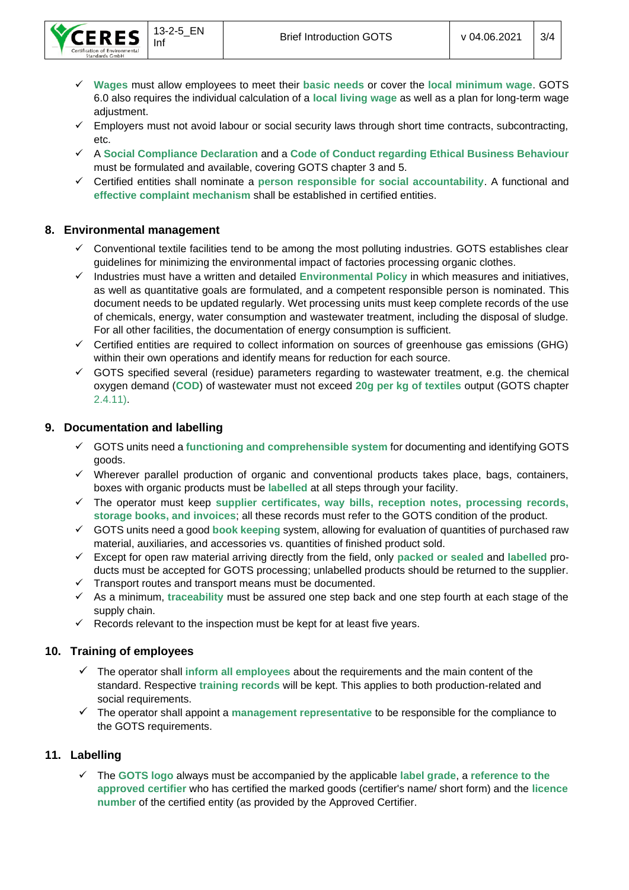- ✓ **Wages** must allow employees to meet their **basic needs** or cover the **local minimum wage**. GOTS 6.0 also requires the individual calculation of a **local living wage** as well as a plan for long-term wage adjustment.
- $\checkmark$  Employers must not avoid labour or social security laws through short time contracts, subcontracting, etc.
- ✓ A **Social Compliance Declaration** and a **Code of Conduct regarding Ethical Business Behaviour**  must be formulated and available, covering GOTS chapter 3 and 5.
- ✓ Certified entities shall nominate a **person responsible for social accountability**. A functional and **effective complaint mechanism** shall be established in certified entities.

## **8. Environmental management**

- Conventional textile facilities tend to be among the most polluting industries. GOTS establishes clear guidelines for minimizing the environmental impact of factories processing organic clothes.
- ✓ Industries must have a written and detailed **Environmental Policy** in which measures and initiatives, as well as quantitative goals are formulated, and a competent responsible person is nominated. This document needs to be updated regularly. Wet processing units must keep complete records of the use of chemicals, energy, water consumption and wastewater treatment, including the disposal of sludge. For all other facilities, the documentation of energy consumption is sufficient.
- $\checkmark$  Certified entities are required to collect information on sources of greenhouse gas emissions (GHG) within their own operations and identify means for reduction for each source.
- $\checkmark$  GOTS specified several (residue) parameters regarding to wastewater treatment, e.g. the chemical oxygen demand (**COD**) of wastewater must not exceed **20g per kg of textiles** output (GOTS chapter 2.4.11).

## **9. Documentation and labelling**

- ✓ GOTS units need a **functioning and comprehensible system** for documenting and identifying GOTS goods.
- ✓ Wherever parallel production of organic and conventional products takes place, bags, containers, boxes with organic products must be **labelled** at all steps through your facility.
- ✓ The operator must keep **supplier certificates, way bills, reception notes, processing records, storage books, and invoices**; all these records must refer to the GOTS condition of the product.
- ✓ GOTS units need a good **book keeping** system, allowing for evaluation of quantities of purchased raw material, auxiliaries, and accessories vs. quantities of finished product sold.
- ✓ Except for open raw material arriving directly from the field, only **packed or sealed** and **labelled** products must be accepted for GOTS processing; unlabelled products should be returned to the supplier.
- ✓ Transport routes and transport means must be documented.
- ✓ As a minimum, **traceability** must be assured one step back and one step fourth at each stage of the supply chain.
- $\checkmark$  Records relevant to the inspection must be kept for at least five years.

## **10. Training of employees**

- ✓ The operator shall **inform all employees** about the requirements and the main content of the standard. Respective **training records** will be kept. This applies to both production-related and social requirements.
- ✓ The operator shall appoint a **management representative** to be responsible for the compliance to the GOTS requirements.

#### **11. Labelling**

✓ The **GOTS logo** always must be accompanied by the applicable **label grade**, a **reference to the approved certifier** who has certified the marked goods (certifier's name/ short form) and the **licence number** of the certified entity (as provided by the Approved Certifier.